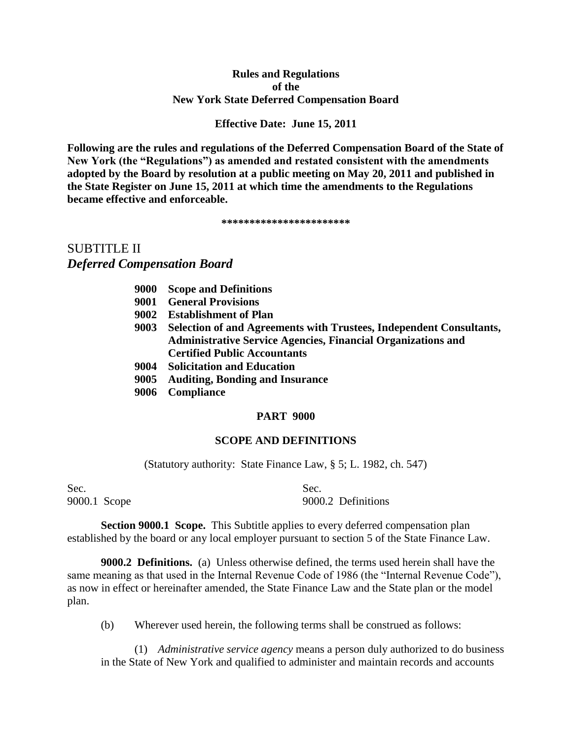# **Rules and Regulations of the New York State Deferred Compensation Board**

# **Effective Date: June 15, 2011**

**Following are the rules and regulations of the Deferred Compensation Board of the State of New York (the "Regulations") as amended and restated consistent with the amendments adopted by the Board by resolution at a public meeting on May 20, 2011 and published in the State Register on June 15, 2011 at which time the amendments to the Regulations became effective and enforceable.** 

**\*\*\*\*\*\*\*\*\*\*\*\*\*\*\*\*\*\*\*\*\*\*\*** 

# SUBTITLE II *Deferred Compensation Board*

- **9001 General Provisions**
- **9002 Establishment of Plan**
- **9003 Selection of and Agreements with Trustees, Independent Consultants, Administrative Service Agencies, Financial Organizations and Certified Public Accountants**
- **9004 Solicitation and Education**
- **9005 Auditing, Bonding and Insurance**
- **9006 Compliance**

### **PART 9000**

#### **SCOPE AND DEFINITIONS**

(Statutory authority: State Finance Law, § 5; L. 1982, ch. 547)

Sec. Sec.

9000.1 Scope 9000.2 Definitions

**Section 9000.1 Scope.** This Subtitle applies to every deferred compensation plan established by the board or any local employer pursuant to section 5 of the State Finance Law.

**9000.2 Definitions.** (a) Unless otherwise defined, the terms used herein shall have the same meaning as that used in the Internal Revenue Code of 1986 (the "Internal Revenue Code"), as now in effect or hereinafter amended, the State Finance Law and the State plan or the model plan.

(b) Wherever used herein, the following terms shall be construed as follows:

(1) *Administrative service agency* means a person duly authorized to do business in the State of New York and qualified to administer and maintain records and accounts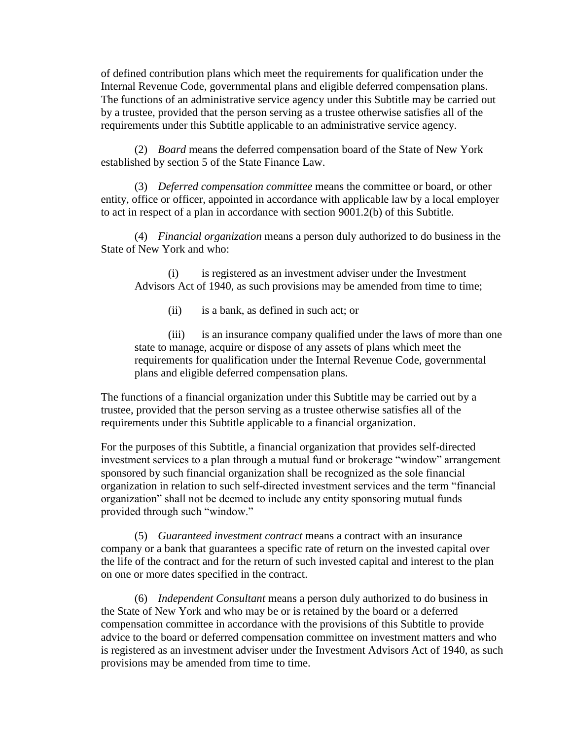of defined contribution plans which meet the requirements for qualification under the Internal Revenue Code, governmental plans and eligible deferred compensation plans. The functions of an administrative service agency under this Subtitle may be carried out by a trustee, provided that the person serving as a trustee otherwise satisfies all of the requirements under this Subtitle applicable to an administrative service agency.

(2) *Board* means the deferred compensation board of the State of New York established by section 5 of the State Finance Law.

(3) *Deferred compensation committee* means the committee or board, or other entity, office or officer, appointed in accordance with applicable law by a local employer to act in respect of a plan in accordance with section 9001.2(b) of this Subtitle.

(4) *Financial organization* means a person duly authorized to do business in the State of New York and who:

(i) is registered as an investment adviser under the Investment Advisors Act of 1940, as such provisions may be amended from time to time;

(ii) is a bank, as defined in such act; or

(iii) is an insurance company qualified under the laws of more than one state to manage, acquire or dispose of any assets of plans which meet the requirements for qualification under the Internal Revenue Code, governmental plans and eligible deferred compensation plans.

The functions of a financial organization under this Subtitle may be carried out by a trustee, provided that the person serving as a trustee otherwise satisfies all of the requirements under this Subtitle applicable to a financial organization.

For the purposes of this Subtitle, a financial organization that provides self-directed investment services to a plan through a mutual fund or brokerage "window" arrangement sponsored by such financial organization shall be recognized as the sole financial organization in relation to such self-directed investment services and the term "financial organization" shall not be deemed to include any entity sponsoring mutual funds provided through such "window."

(5) *Guaranteed investment contract* means a contract with an insurance company or a bank that guarantees a specific rate of return on the invested capital over the life of the contract and for the return of such invested capital and interest to the plan on one or more dates specified in the contract.

(6) *Independent Consultant* means a person duly authorized to do business in the State of New York and who may be or is retained by the board or a deferred compensation committee in accordance with the provisions of this Subtitle to provide advice to the board or deferred compensation committee on investment matters and who is registered as an investment adviser under the Investment Advisors Act of 1940, as such provisions may be amended from time to time.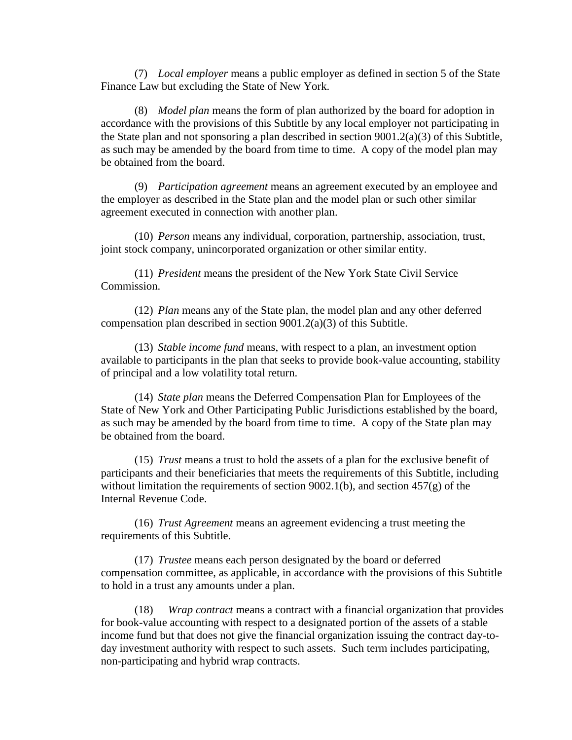(7) *Local employer* means a public employer as defined in section 5 of the State Finance Law but excluding the State of New York.

(8) *Model plan* means the form of plan authorized by the board for adoption in accordance with the provisions of this Subtitle by any local employer not participating in the State plan and not sponsoring a plan described in section 9001.2(a)(3) of this Subtitle, as such may be amended by the board from time to time. A copy of the model plan may be obtained from the board.

(9) *Participation agreement* means an agreement executed by an employee and the employer as described in the State plan and the model plan or such other similar agreement executed in connection with another plan.

(10) *Person* means any individual, corporation, partnership, association, trust, joint stock company, unincorporated organization or other similar entity.

(11) *President* means the president of the New York State Civil Service Commission.

(12) *Plan* means any of the State plan, the model plan and any other deferred compensation plan described in section 9001.2(a)(3) of this Subtitle.

(13) *Stable income fund* means, with respect to a plan, an investment option available to participants in the plan that seeks to provide book-value accounting, stability of principal and a low volatility total return.

(14) *State plan* means the Deferred Compensation Plan for Employees of the State of New York and Other Participating Public Jurisdictions established by the board, as such may be amended by the board from time to time. A copy of the State plan may be obtained from the board.

(15) *Trust* means a trust to hold the assets of a plan for the exclusive benefit of participants and their beneficiaries that meets the requirements of this Subtitle, including without limitation the requirements of section 9002.1(b), and section  $457(g)$  of the Internal Revenue Code.

(16) *Trust Agreement* means an agreement evidencing a trust meeting the requirements of this Subtitle.

(17) *Trustee* means each person designated by the board or deferred compensation committee, as applicable, in accordance with the provisions of this Subtitle to hold in a trust any amounts under a plan.

(18) *Wrap contract* means a contract with a financial organization that provides for book-value accounting with respect to a designated portion of the assets of a stable income fund but that does not give the financial organization issuing the contract day-today investment authority with respect to such assets. Such term includes participating, non-participating and hybrid wrap contracts.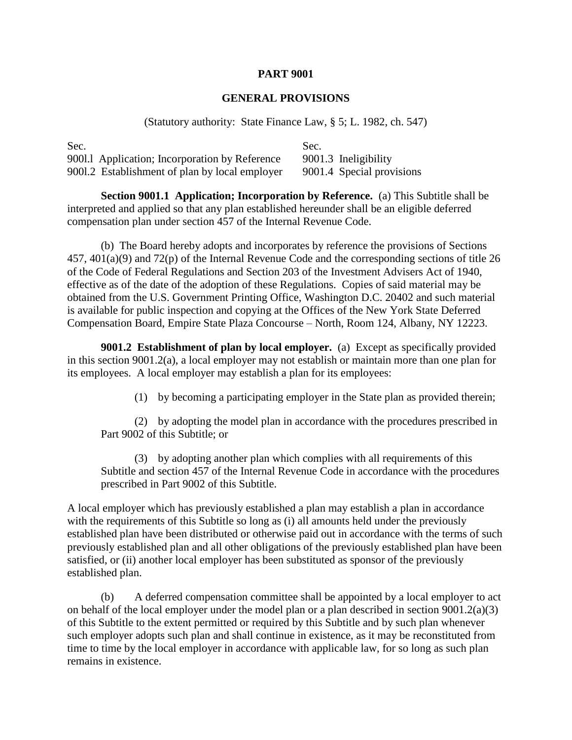### **GENERAL PROVISIONS**

(Statutory authority: State Finance Law, § 5; L. 1982, ch. 547)

| Sec. |                                                | Sec. |                           |
|------|------------------------------------------------|------|---------------------------|
|      | 9001.1 Application; Incorporation by Reference |      | 9001.3 Ineligibility      |
|      | 9001.2 Establishment of plan by local employer |      | 9001.4 Special provisions |

**Section 9001.1 Application; Incorporation by Reference.** (a) This Subtitle shall be interpreted and applied so that any plan established hereunder shall be an eligible deferred compensation plan under section 457 of the Internal Revenue Code.

(b) The Board hereby adopts and incorporates by reference the provisions of Sections 457, 401(a)(9) and 72(p) of the Internal Revenue Code and the corresponding sections of title 26 of the Code of Federal Regulations and Section 203 of the Investment Advisers Act of 1940, effective as of the date of the adoption of these Regulations. Copies of said material may be obtained from the U.S. Government Printing Office, Washington D.C. 20402 and such material is available for public inspection and copying at the Offices of the New York State Deferred Compensation Board, Empire State Plaza Concourse – North, Room 124, Albany, NY 12223.

**9001.2 Establishment of plan by local employer.** (a) Except as specifically provided in this section 9001.2(a), a local employer may not establish or maintain more than one plan for its employees. A local employer may establish a plan for its employees:

(1) by becoming a participating employer in the State plan as provided therein;

(2) by adopting the model plan in accordance with the procedures prescribed in Part 9002 of this Subtitle; or

(3) by adopting another plan which complies with all requirements of this Subtitle and section 457 of the Internal Revenue Code in accordance with the procedures prescribed in Part 9002 of this Subtitle.

A local employer which has previously established a plan may establish a plan in accordance with the requirements of this Subtitle so long as (i) all amounts held under the previously established plan have been distributed or otherwise paid out in accordance with the terms of such previously established plan and all other obligations of the previously established plan have been satisfied, or (ii) another local employer has been substituted as sponsor of the previously established plan.

(b) A deferred compensation committee shall be appointed by a local employer to act on behalf of the local employer under the model plan or a plan described in section 9001.2(a)(3) of this Subtitle to the extent permitted or required by this Subtitle and by such plan whenever such employer adopts such plan and shall continue in existence, as it may be reconstituted from time to time by the local employer in accordance with applicable law, for so long as such plan remains in existence.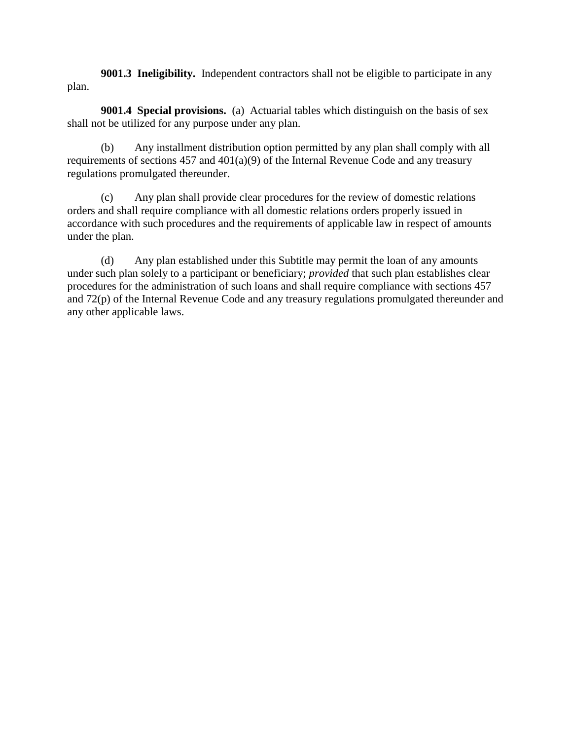**9001.3 Ineligibility.** Independent contractors shall not be eligible to participate in any plan.

**9001.4 Special provisions.** (a) Actuarial tables which distinguish on the basis of sex shall not be utilized for any purpose under any plan.

(b) Any installment distribution option permitted by any plan shall comply with all requirements of sections 457 and 401(a)(9) of the Internal Revenue Code and any treasury regulations promulgated thereunder.

(c) Any plan shall provide clear procedures for the review of domestic relations orders and shall require compliance with all domestic relations orders properly issued in accordance with such procedures and the requirements of applicable law in respect of amounts under the plan.

(d) Any plan established under this Subtitle may permit the loan of any amounts under such plan solely to a participant or beneficiary; *provided* that such plan establishes clear procedures for the administration of such loans and shall require compliance with sections 457 and 72(p) of the Internal Revenue Code and any treasury regulations promulgated thereunder and any other applicable laws.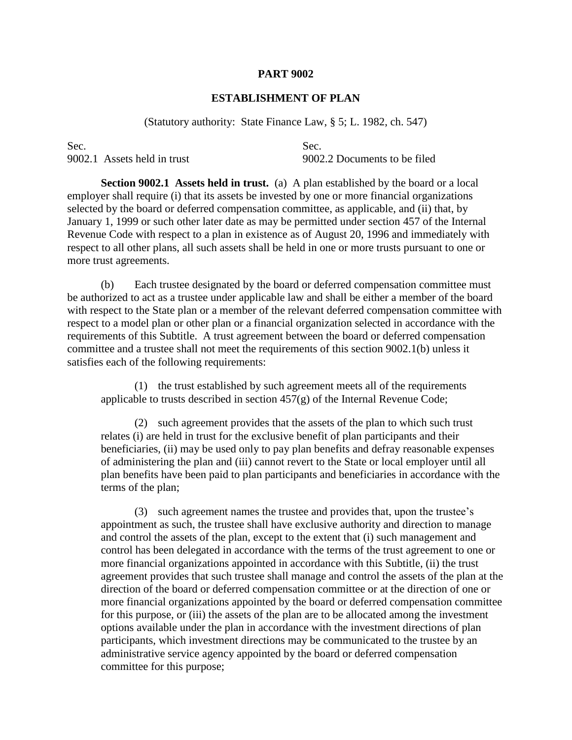# **ESTABLISHMENT OF PLAN**

(Statutory authority: State Finance Law, § 5; L. 1982, ch. 547)

Sec. Sec.

9002.1 Assets held in trust 9002.2 Documents to be filed

**Section 9002.1 Assets held in trust.** (a) A plan established by the board or a local employer shall require (i) that its assets be invested by one or more financial organizations selected by the board or deferred compensation committee, as applicable, and (ii) that, by January 1, 1999 or such other later date as may be permitted under section 457 of the Internal Revenue Code with respect to a plan in existence as of August 20, 1996 and immediately with respect to all other plans, all such assets shall be held in one or more trusts pursuant to one or more trust agreements.

(b) Each trustee designated by the board or deferred compensation committee must be authorized to act as a trustee under applicable law and shall be either a member of the board with respect to the State plan or a member of the relevant deferred compensation committee with respect to a model plan or other plan or a financial organization selected in accordance with the requirements of this Subtitle. A trust agreement between the board or deferred compensation committee and a trustee shall not meet the requirements of this section 9002.1(b) unless it satisfies each of the following requirements:

(1) the trust established by such agreement meets all of the requirements applicable to trusts described in section  $457(g)$  of the Internal Revenue Code;

(2) such agreement provides that the assets of the plan to which such trust relates (i) are held in trust for the exclusive benefit of plan participants and their beneficiaries, (ii) may be used only to pay plan benefits and defray reasonable expenses of administering the plan and (iii) cannot revert to the State or local employer until all plan benefits have been paid to plan participants and beneficiaries in accordance with the terms of the plan;

(3) such agreement names the trustee and provides that, upon the trustee's appointment as such, the trustee shall have exclusive authority and direction to manage and control the assets of the plan, except to the extent that (i) such management and control has been delegated in accordance with the terms of the trust agreement to one or more financial organizations appointed in accordance with this Subtitle, (ii) the trust agreement provides that such trustee shall manage and control the assets of the plan at the direction of the board or deferred compensation committee or at the direction of one or more financial organizations appointed by the board or deferred compensation committee for this purpose, or (iii) the assets of the plan are to be allocated among the investment options available under the plan in accordance with the investment directions of plan participants, which investment directions may be communicated to the trustee by an administrative service agency appointed by the board or deferred compensation committee for this purpose;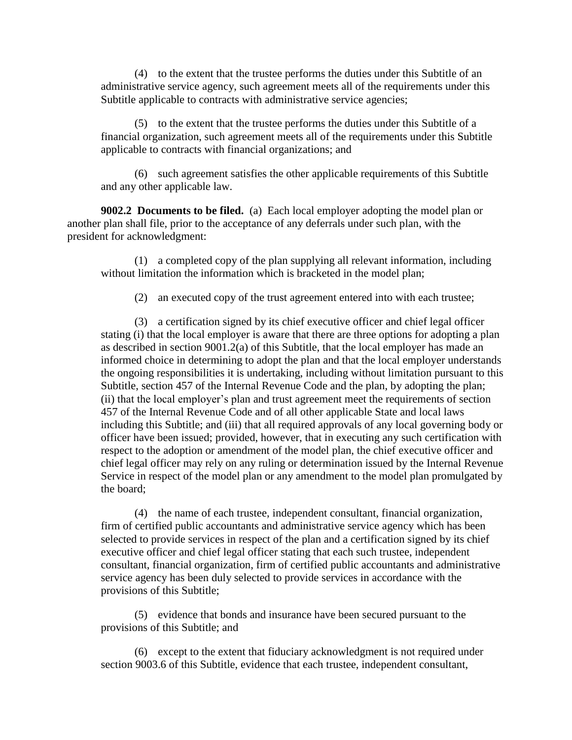(4) to the extent that the trustee performs the duties under this Subtitle of an administrative service agency, such agreement meets all of the requirements under this Subtitle applicable to contracts with administrative service agencies;

(5) to the extent that the trustee performs the duties under this Subtitle of a financial organization, such agreement meets all of the requirements under this Subtitle applicable to contracts with financial organizations; and

(6) such agreement satisfies the other applicable requirements of this Subtitle and any other applicable law.

**9002.2 Documents to be filed.** (a) Each local employer adopting the model plan or another plan shall file, prior to the acceptance of any deferrals under such plan, with the president for acknowledgment:

(1) a completed copy of the plan supplying all relevant information, including without limitation the information which is bracketed in the model plan;

(2) an executed copy of the trust agreement entered into with each trustee;

(3) a certification signed by its chief executive officer and chief legal officer stating (i) that the local employer is aware that there are three options for adopting a plan as described in section 9001.2(a) of this Subtitle, that the local employer has made an informed choice in determining to adopt the plan and that the local employer understands the ongoing responsibilities it is undertaking, including without limitation pursuant to this Subtitle, section 457 of the Internal Revenue Code and the plan, by adopting the plan; (ii) that the local employer's plan and trust agreement meet the requirements of section 457 of the Internal Revenue Code and of all other applicable State and local laws including this Subtitle; and (iii) that all required approvals of any local governing body or officer have been issued; provided, however, that in executing any such certification with respect to the adoption or amendment of the model plan, the chief executive officer and chief legal officer may rely on any ruling or determination issued by the Internal Revenue Service in respect of the model plan or any amendment to the model plan promulgated by the board;

(4) the name of each trustee, independent consultant, financial organization, firm of certified public accountants and administrative service agency which has been selected to provide services in respect of the plan and a certification signed by its chief executive officer and chief legal officer stating that each such trustee, independent consultant, financial organization, firm of certified public accountants and administrative service agency has been duly selected to provide services in accordance with the provisions of this Subtitle;

(5) evidence that bonds and insurance have been secured pursuant to the provisions of this Subtitle; and

(6) except to the extent that fiduciary acknowledgment is not required under section 9003.6 of this Subtitle, evidence that each trustee, independent consultant,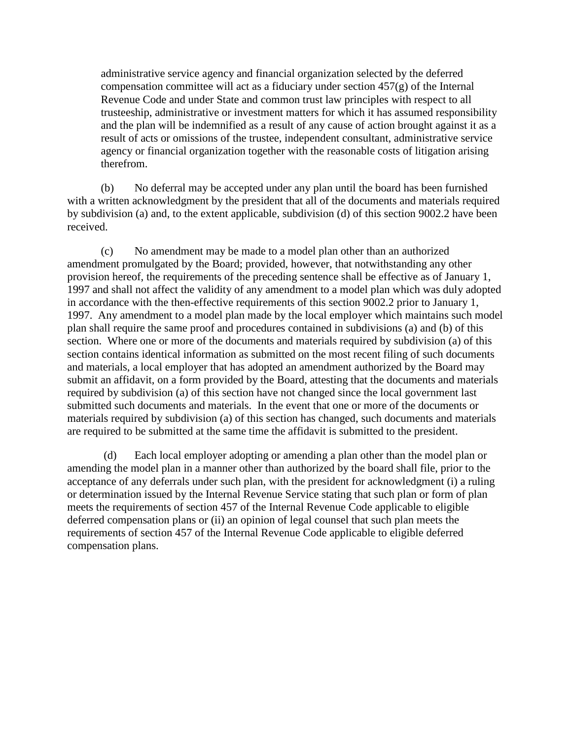administrative service agency and financial organization selected by the deferred compensation committee will act as a fiduciary under section 457(g) of the Internal Revenue Code and under State and common trust law principles with respect to all trusteeship, administrative or investment matters for which it has assumed responsibility and the plan will be indemnified as a result of any cause of action brought against it as a result of acts or omissions of the trustee, independent consultant, administrative service agency or financial organization together with the reasonable costs of litigation arising therefrom.

(b) No deferral may be accepted under any plan until the board has been furnished with a written acknowledgment by the president that all of the documents and materials required by subdivision (a) and, to the extent applicable, subdivision (d) of this section 9002.2 have been received.

(c) No amendment may be made to a model plan other than an authorized amendment promulgated by the Board; provided, however, that notwithstanding any other provision hereof, the requirements of the preceding sentence shall be effective as of January 1, 1997 and shall not affect the validity of any amendment to a model plan which was duly adopted in accordance with the then-effective requirements of this section 9002.2 prior to January 1, 1997. Any amendment to a model plan made by the local employer which maintains such model plan shall require the same proof and procedures contained in subdivisions (a) and (b) of this section. Where one or more of the documents and materials required by subdivision (a) of this section contains identical information as submitted on the most recent filing of such documents and materials, a local employer that has adopted an amendment authorized by the Board may submit an affidavit, on a form provided by the Board, attesting that the documents and materials required by subdivision (a) of this section have not changed since the local government last submitted such documents and materials. In the event that one or more of the documents or materials required by subdivision (a) of this section has changed, such documents and materials are required to be submitted at the same time the affidavit is submitted to the president.

(d) Each local employer adopting or amending a plan other than the model plan or amending the model plan in a manner other than authorized by the board shall file, prior to the acceptance of any deferrals under such plan, with the president for acknowledgment (i) a ruling or determination issued by the Internal Revenue Service stating that such plan or form of plan meets the requirements of section 457 of the Internal Revenue Code applicable to eligible deferred compensation plans or (ii) an opinion of legal counsel that such plan meets the requirements of section 457 of the Internal Revenue Code applicable to eligible deferred compensation plans.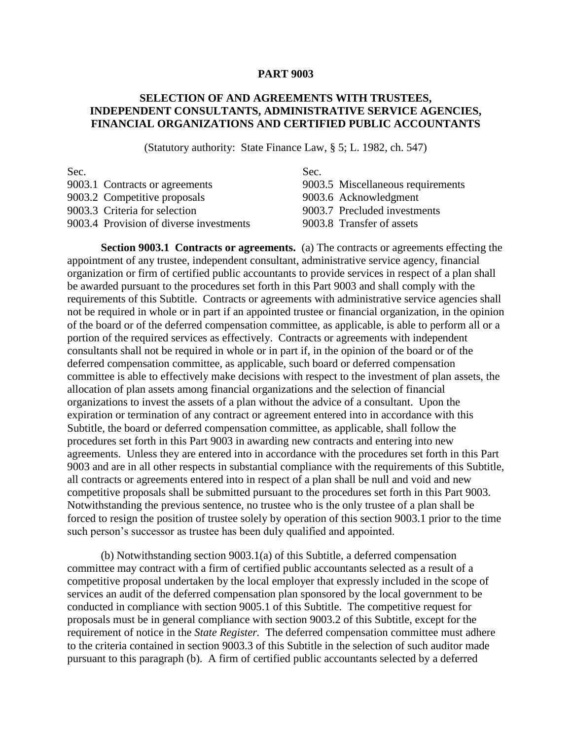# **SELECTION OF AND AGREEMENTS WITH TRUSTEES, INDEPENDENT CONSULTANTS, ADMINISTRATIVE SERVICE AGENCIES, FINANCIAL ORGANIZATIONS AND CERTIFIED PUBLIC ACCOUNTANTS**

(Statutory authority: State Finance Law, § 5; L. 1982, ch. 547)

| Sec. |                                         | Sec. |                                   |
|------|-----------------------------------------|------|-----------------------------------|
|      | 9003.1 Contracts or agreements          |      | 9003.5 Miscellaneous requirements |
|      | 9003.2 Competitive proposals            |      | 9003.6 Acknowledgment             |
|      | 9003.3 Criteria for selection           |      | 9003.7 Precluded investments      |
|      | 9003.4 Provision of diverse investments |      | 9003.8 Transfer of assets         |
|      |                                         |      |                                   |

**Section 9003.1 Contracts or agreements.** (a) The contracts or agreements effecting the appointment of any trustee, independent consultant, administrative service agency, financial organization or firm of certified public accountants to provide services in respect of a plan shall be awarded pursuant to the procedures set forth in this Part 9003 and shall comply with the requirements of this Subtitle. Contracts or agreements with administrative service agencies shall not be required in whole or in part if an appointed trustee or financial organization, in the opinion of the board or of the deferred compensation committee, as applicable, is able to perform all or a portion of the required services as effectively. Contracts or agreements with independent consultants shall not be required in whole or in part if, in the opinion of the board or of the deferred compensation committee, as applicable, such board or deferred compensation committee is able to effectively make decisions with respect to the investment of plan assets, the allocation of plan assets among financial organizations and the selection of financial organizations to invest the assets of a plan without the advice of a consultant. Upon the expiration or termination of any contract or agreement entered into in accordance with this Subtitle, the board or deferred compensation committee, as applicable, shall follow the procedures set forth in this Part 9003 in awarding new contracts and entering into new agreements. Unless they are entered into in accordance with the procedures set forth in this Part 9003 and are in all other respects in substantial compliance with the requirements of this Subtitle, all contracts or agreements entered into in respect of a plan shall be null and void and new competitive proposals shall be submitted pursuant to the procedures set forth in this Part 9003. Notwithstanding the previous sentence, no trustee who is the only trustee of a plan shall be forced to resign the position of trustee solely by operation of this section 9003.1 prior to the time such person's successor as trustee has been duly qualified and appointed.

(b) Notwithstanding section 9003.1(a) of this Subtitle, a deferred compensation committee may contract with a firm of certified public accountants selected as a result of a competitive proposal undertaken by the local employer that expressly included in the scope of services an audit of the deferred compensation plan sponsored by the local government to be conducted in compliance with section 9005.1 of this Subtitle. The competitive request for proposals must be in general compliance with section 9003.2 of this Subtitle, except for the requirement of notice in the *State Register.* The deferred compensation committee must adhere to the criteria contained in section 9003.3 of this Subtitle in the selection of such auditor made pursuant to this paragraph (b). A firm of certified public accountants selected by a deferred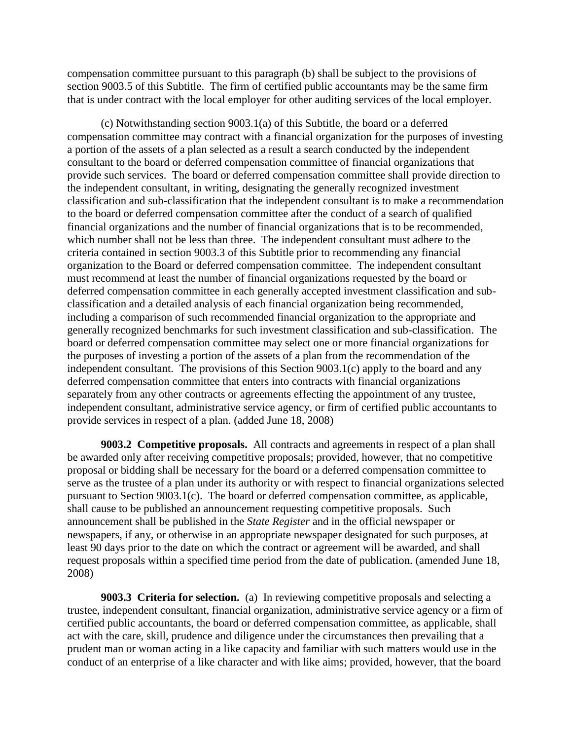compensation committee pursuant to this paragraph (b) shall be subject to the provisions of section 9003.5 of this Subtitle. The firm of certified public accountants may be the same firm that is under contract with the local employer for other auditing services of the local employer.

(c) Notwithstanding section 9003.1(a) of this Subtitle, the board or a deferred compensation committee may contract with a financial organization for the purposes of investing a portion of the assets of a plan selected as a result a search conducted by the independent consultant to the board or deferred compensation committee of financial organizations that provide such services. The board or deferred compensation committee shall provide direction to the independent consultant, in writing, designating the generally recognized investment classification and sub-classification that the independent consultant is to make a recommendation to the board or deferred compensation committee after the conduct of a search of qualified financial organizations and the number of financial organizations that is to be recommended, which number shall not be less than three. The independent consultant must adhere to the criteria contained in section 9003.3 of this Subtitle prior to recommending any financial organization to the Board or deferred compensation committee. The independent consultant must recommend at least the number of financial organizations requested by the board or deferred compensation committee in each generally accepted investment classification and subclassification and a detailed analysis of each financial organization being recommended, including a comparison of such recommended financial organization to the appropriate and generally recognized benchmarks for such investment classification and sub-classification. The board or deferred compensation committee may select one or more financial organizations for the purposes of investing a portion of the assets of a plan from the recommendation of the independent consultant. The provisions of this Section 9003.1(c) apply to the board and any deferred compensation committee that enters into contracts with financial organizations separately from any other contracts or agreements effecting the appointment of any trustee, independent consultant, administrative service agency, or firm of certified public accountants to provide services in respect of a plan. (added June 18, 2008)

**9003.2 Competitive proposals.** All contracts and agreements in respect of a plan shall be awarded only after receiving competitive proposals; provided, however, that no competitive proposal or bidding shall be necessary for the board or a deferred compensation committee to serve as the trustee of a plan under its authority or with respect to financial organizations selected pursuant to Section 9003.1(c). The board or deferred compensation committee, as applicable, shall cause to be published an announcement requesting competitive proposals. Such announcement shall be published in the *State Register* and in the official newspaper or newspapers, if any, or otherwise in an appropriate newspaper designated for such purposes, at least 90 days prior to the date on which the contract or agreement will be awarded, and shall request proposals within a specified time period from the date of publication. (amended June 18, 2008)

**9003.3 Criteria for selection.** (a) In reviewing competitive proposals and selecting a trustee, independent consultant, financial organization, administrative service agency or a firm of certified public accountants, the board or deferred compensation committee, as applicable, shall act with the care, skill, prudence and diligence under the circumstances then prevailing that a prudent man or woman acting in a like capacity and familiar with such matters would use in the conduct of an enterprise of a like character and with like aims; provided, however, that the board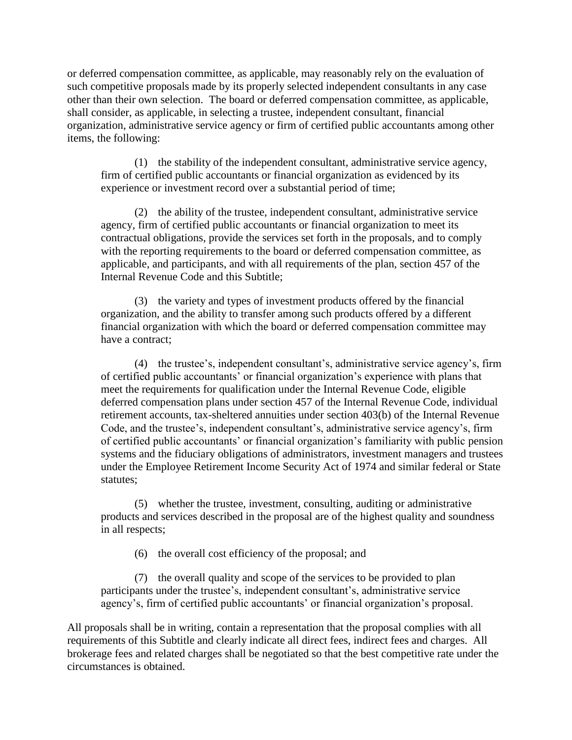or deferred compensation committee, as applicable, may reasonably rely on the evaluation of such competitive proposals made by its properly selected independent consultants in any case other than their own selection. The board or deferred compensation committee, as applicable, shall consider, as applicable, in selecting a trustee, independent consultant, financial organization, administrative service agency or firm of certified public accountants among other items, the following:

(1) the stability of the independent consultant, administrative service agency, firm of certified public accountants or financial organization as evidenced by its experience or investment record over a substantial period of time;

(2) the ability of the trustee, independent consultant, administrative service agency, firm of certified public accountants or financial organization to meet its contractual obligations, provide the services set forth in the proposals, and to comply with the reporting requirements to the board or deferred compensation committee, as applicable, and participants, and with all requirements of the plan, section 457 of the Internal Revenue Code and this Subtitle;

(3) the variety and types of investment products offered by the financial organization, and the ability to transfer among such products offered by a different financial organization with which the board or deferred compensation committee may have a contract;

(4) the trustee's, independent consultant's, administrative service agency's, firm of certified public accountants' or financial organization's experience with plans that meet the requirements for qualification under the Internal Revenue Code, eligible deferred compensation plans under section 457 of the Internal Revenue Code, individual retirement accounts, tax-sheltered annuities under section 403(b) of the Internal Revenue Code, and the trustee's, independent consultant's, administrative service agency's, firm of certified public accountants' or financial organization's familiarity with public pension systems and the fiduciary obligations of administrators, investment managers and trustees under the Employee Retirement Income Security Act of 1974 and similar federal or State statutes;

(5) whether the trustee, investment, consulting, auditing or administrative products and services described in the proposal are of the highest quality and soundness in all respects;

(6) the overall cost efficiency of the proposal; and

(7) the overall quality and scope of the services to be provided to plan participants under the trustee's, independent consultant's, administrative service agency's, firm of certified public accountants' or financial organization's proposal.

All proposals shall be in writing, contain a representation that the proposal complies with all requirements of this Subtitle and clearly indicate all direct fees, indirect fees and charges. All brokerage fees and related charges shall be negotiated so that the best competitive rate under the circumstances is obtained.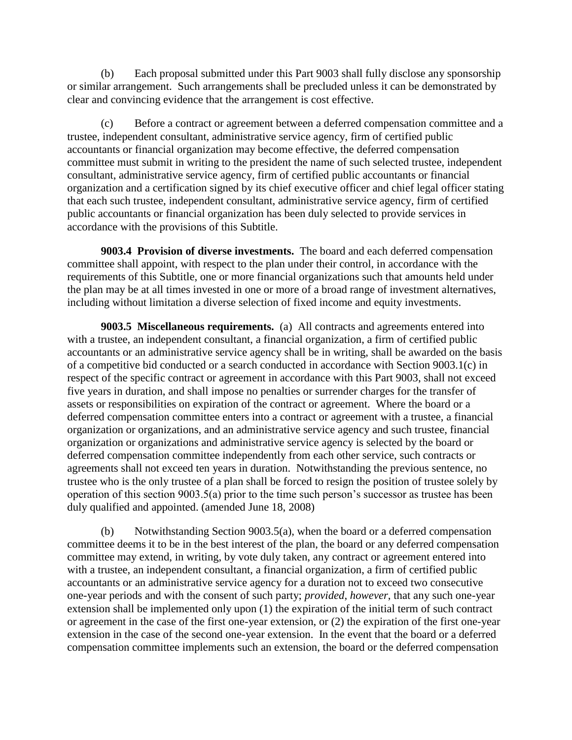(b) Each proposal submitted under this Part 9003 shall fully disclose any sponsorship or similar arrangement. Such arrangements shall be precluded unless it can be demonstrated by clear and convincing evidence that the arrangement is cost effective.

(c) Before a contract or agreement between a deferred compensation committee and a trustee, independent consultant, administrative service agency, firm of certified public accountants or financial organization may become effective, the deferred compensation committee must submit in writing to the president the name of such selected trustee, independent consultant, administrative service agency, firm of certified public accountants or financial organization and a certification signed by its chief executive officer and chief legal officer stating that each such trustee, independent consultant, administrative service agency, firm of certified public accountants or financial organization has been duly selected to provide services in accordance with the provisions of this Subtitle.

**9003.4 Provision of diverse investments.** The board and each deferred compensation committee shall appoint, with respect to the plan under their control, in accordance with the requirements of this Subtitle, one or more financial organizations such that amounts held under the plan may be at all times invested in one or more of a broad range of investment alternatives, including without limitation a diverse selection of fixed income and equity investments.

**9003.5 Miscellaneous requirements.** (a) All contracts and agreements entered into with a trustee, an independent consultant, a financial organization, a firm of certified public accountants or an administrative service agency shall be in writing, shall be awarded on the basis of a competitive bid conducted or a search conducted in accordance with Section 9003.1(c) in respect of the specific contract or agreement in accordance with this Part 9003, shall not exceed five years in duration, and shall impose no penalties or surrender charges for the transfer of assets or responsibilities on expiration of the contract or agreement. Where the board or a deferred compensation committee enters into a contract or agreement with a trustee, a financial organization or organizations, and an administrative service agency and such trustee, financial organization or organizations and administrative service agency is selected by the board or deferred compensation committee independently from each other service, such contracts or agreements shall not exceed ten years in duration. Notwithstanding the previous sentence, no trustee who is the only trustee of a plan shall be forced to resign the position of trustee solely by operation of this section 9003.5(a) prior to the time such person's successor as trustee has been duly qualified and appointed. (amended June 18, 2008)

(b) Notwithstanding Section 9003.5(a), when the board or a deferred compensation committee deems it to be in the best interest of the plan, the board or any deferred compensation committee may extend, in writing, by vote duly taken, any contract or agreement entered into with a trustee, an independent consultant, a financial organization, a firm of certified public accountants or an administrative service agency for a duration not to exceed two consecutive one-year periods and with the consent of such party; *provided*, *however*, that any such one-year extension shall be implemented only upon (1) the expiration of the initial term of such contract or agreement in the case of the first one-year extension, or (2) the expiration of the first one-year extension in the case of the second one-year extension. In the event that the board or a deferred compensation committee implements such an extension, the board or the deferred compensation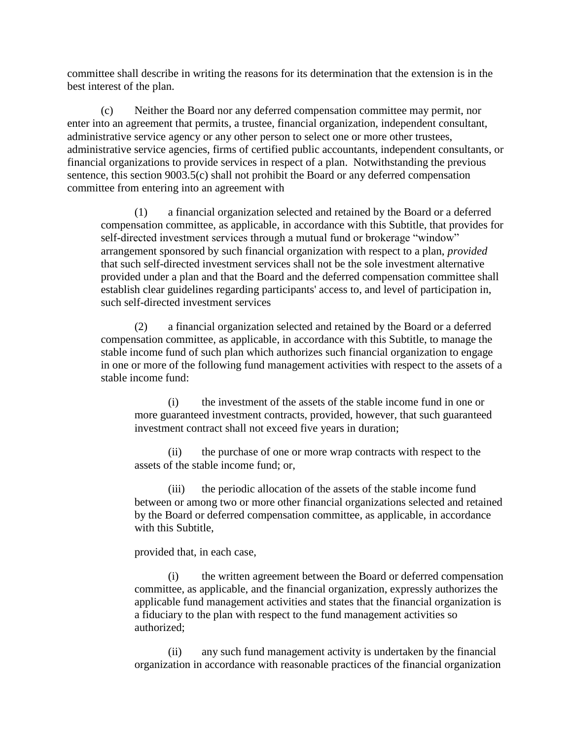committee shall describe in writing the reasons for its determination that the extension is in the best interest of the plan.

(c) Neither the Board nor any deferred compensation committee may permit, nor enter into an agreement that permits, a trustee, financial organization, independent consultant, administrative service agency or any other person to select one or more other trustees, administrative service agencies, firms of certified public accountants, independent consultants, or financial organizations to provide services in respect of a plan. Notwithstanding the previous sentence, this section 9003.5(c) shall not prohibit the Board or any deferred compensation committee from entering into an agreement with

(1) a financial organization selected and retained by the Board or a deferred compensation committee, as applicable, in accordance with this Subtitle, that provides for self-directed investment services through a mutual fund or brokerage "window" arrangement sponsored by such financial organization with respect to a plan, *provided* that such self-directed investment services shall not be the sole investment alternative provided under a plan and that the Board and the deferred compensation committee shall establish clear guidelines regarding participants' access to, and level of participation in, such self-directed investment services

(2) a financial organization selected and retained by the Board or a deferred compensation committee, as applicable, in accordance with this Subtitle, to manage the stable income fund of such plan which authorizes such financial organization to engage in one or more of the following fund management activities with respect to the assets of a stable income fund:

(i) the investment of the assets of the stable income fund in one or more guaranteed investment contracts, provided, however, that such guaranteed investment contract shall not exceed five years in duration;

(ii) the purchase of one or more wrap contracts with respect to the assets of the stable income fund; or,

(iii) the periodic allocation of the assets of the stable income fund between or among two or more other financial organizations selected and retained by the Board or deferred compensation committee, as applicable, in accordance with this Subtitle,

provided that, in each case,

(i) the written agreement between the Board or deferred compensation committee, as applicable, and the financial organization, expressly authorizes the applicable fund management activities and states that the financial organization is a fiduciary to the plan with respect to the fund management activities so authorized;

(ii) any such fund management activity is undertaken by the financial organization in accordance with reasonable practices of the financial organization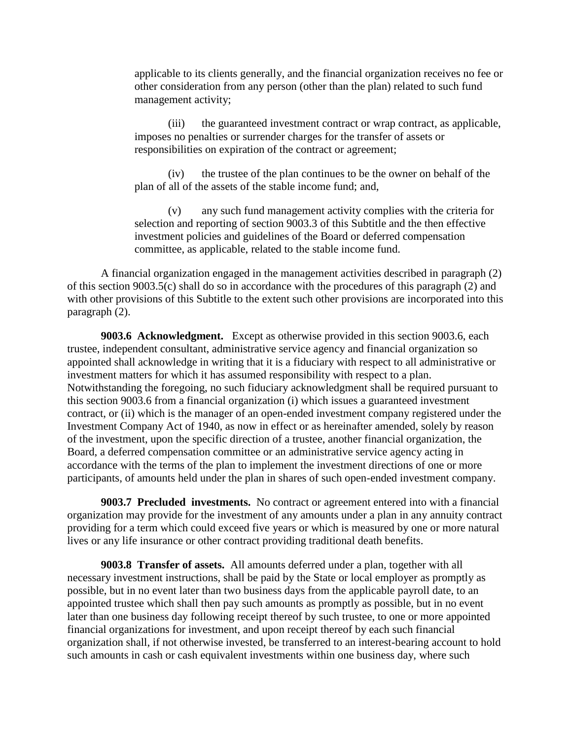applicable to its clients generally, and the financial organization receives no fee or other consideration from any person (other than the plan) related to such fund management activity;

(iii) the guaranteed investment contract or wrap contract, as applicable, imposes no penalties or surrender charges for the transfer of assets or responsibilities on expiration of the contract or agreement;

(iv) the trustee of the plan continues to be the owner on behalf of the plan of all of the assets of the stable income fund; and,

(v) any such fund management activity complies with the criteria for selection and reporting of section 9003.3 of this Subtitle and the then effective investment policies and guidelines of the Board or deferred compensation committee, as applicable, related to the stable income fund.

A financial organization engaged in the management activities described in paragraph (2) of this section 9003.5(c) shall do so in accordance with the procedures of this paragraph (2) and with other provisions of this Subtitle to the extent such other provisions are incorporated into this paragraph (2).

**9003.6 Acknowledgment.** Except as otherwise provided in this section 9003.6, each trustee, independent consultant, administrative service agency and financial organization so appointed shall acknowledge in writing that it is a fiduciary with respect to all administrative or investment matters for which it has assumed responsibility with respect to a plan. Notwithstanding the foregoing, no such fiduciary acknowledgment shall be required pursuant to this section 9003.6 from a financial organization (i) which issues a guaranteed investment contract, or (ii) which is the manager of an open-ended investment company registered under the Investment Company Act of 1940, as now in effect or as hereinafter amended, solely by reason of the investment, upon the specific direction of a trustee, another financial organization, the Board, a deferred compensation committee or an administrative service agency acting in accordance with the terms of the plan to implement the investment directions of one or more participants, of amounts held under the plan in shares of such open-ended investment company.

**9003.7 Precluded investments.** No contract or agreement entered into with a financial organization may provide for the investment of any amounts under a plan in any annuity contract providing for a term which could exceed five years or which is measured by one or more natural lives or any life insurance or other contract providing traditional death benefits.

**9003.8 Transfer of assets.** All amounts deferred under a plan, together with all necessary investment instructions, shall be paid by the State or local employer as promptly as possible, but in no event later than two business days from the applicable payroll date, to an appointed trustee which shall then pay such amounts as promptly as possible, but in no event later than one business day following receipt thereof by such trustee, to one or more appointed financial organizations for investment, and upon receipt thereof by each such financial organization shall, if not otherwise invested, be transferred to an interest-bearing account to hold such amounts in cash or cash equivalent investments within one business day, where such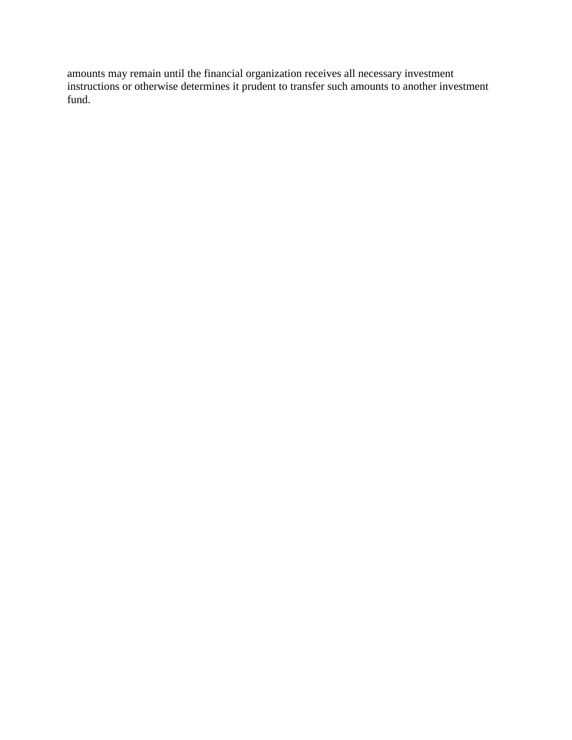amounts may remain until the financial organization receives all necessary investment instructions or otherwise determines it prudent to transfer such amounts to another investment fund.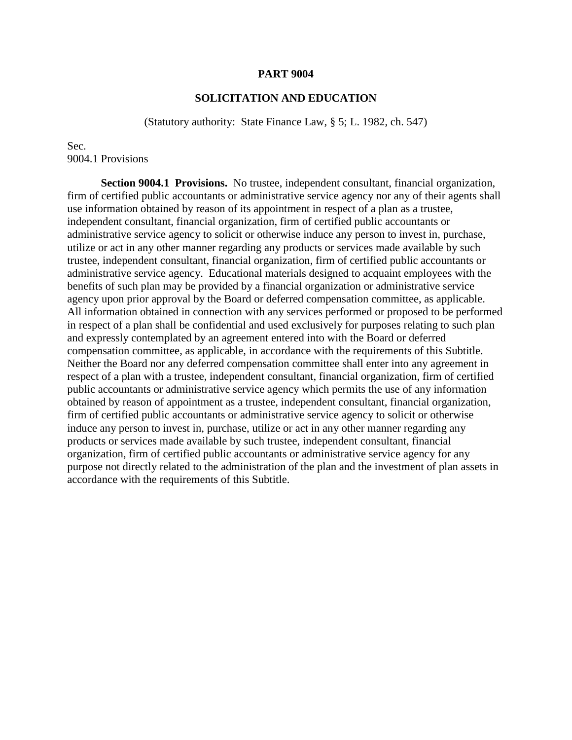# **SOLICITATION AND EDUCATION**

(Statutory authority: State Finance Law, § 5; L. 1982, ch. 547)

Sec. 9004.1 Provisions

**Section 9004.1 Provisions.** No trustee, independent consultant, financial organization, firm of certified public accountants or administrative service agency nor any of their agents shall use information obtained by reason of its appointment in respect of a plan as a trustee, independent consultant, financial organization, firm of certified public accountants or administrative service agency to solicit or otherwise induce any person to invest in, purchase, utilize or act in any other manner regarding any products or services made available by such trustee, independent consultant, financial organization, firm of certified public accountants or administrative service agency. Educational materials designed to acquaint employees with the benefits of such plan may be provided by a financial organization or administrative service agency upon prior approval by the Board or deferred compensation committee, as applicable. All information obtained in connection with any services performed or proposed to be performed in respect of a plan shall be confidential and used exclusively for purposes relating to such plan and expressly contemplated by an agreement entered into with the Board or deferred compensation committee, as applicable, in accordance with the requirements of this Subtitle. Neither the Board nor any deferred compensation committee shall enter into any agreement in respect of a plan with a trustee, independent consultant, financial organization, firm of certified public accountants or administrative service agency which permits the use of any information obtained by reason of appointment as a trustee, independent consultant, financial organization, firm of certified public accountants or administrative service agency to solicit or otherwise induce any person to invest in, purchase, utilize or act in any other manner regarding any products or services made available by such trustee, independent consultant, financial organization, firm of certified public accountants or administrative service agency for any purpose not directly related to the administration of the plan and the investment of plan assets in accordance with the requirements of this Subtitle.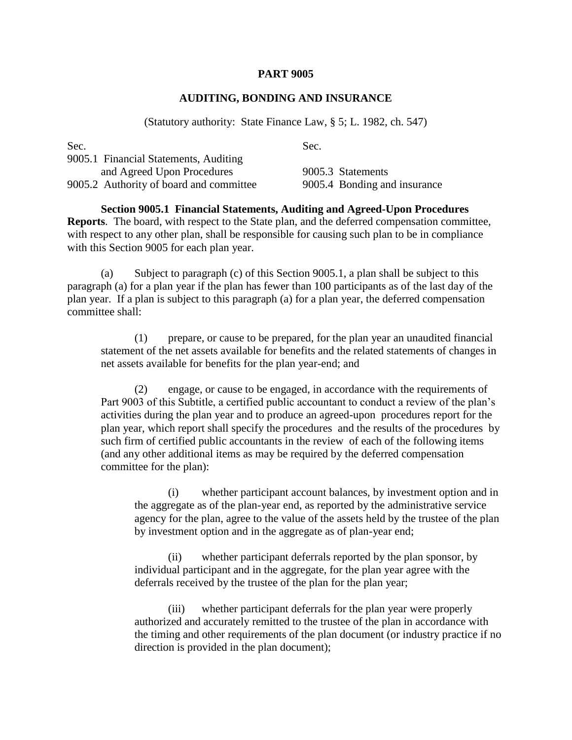### **AUDITING, BONDING AND INSURANCE**

(Statutory authority: State Finance Law, § 5; L. 1982, ch. 547)

| Sec.                                    | Sec.                         |
|-----------------------------------------|------------------------------|
| 9005.1 Financial Statements, Auditing   |                              |
| and Agreed Upon Procedures              | 9005.3 Statements            |
| 9005.2 Authority of board and committee | 9005.4 Bonding and insurance |

**Section 9005.1 Financial Statements, Auditing and Agreed-Upon Procedures Reports**. The board, with respect to the State plan, and the deferred compensation committee, with respect to any other plan, shall be responsible for causing such plan to be in compliance with this Section 9005 for each plan year.

(a) Subject to paragraph (c) of this Section 9005.1, a plan shall be subject to this paragraph (a) for a plan year if the plan has fewer than 100 participants as of the last day of the plan year. If a plan is subject to this paragraph (a) for a plan year, the deferred compensation committee shall:

(1) prepare, or cause to be prepared, for the plan year an unaudited financial statement of the net assets available for benefits and the related statements of changes in net assets available for benefits for the plan year-end; and

(2) engage, or cause to be engaged, in accordance with the requirements of Part 9003 of this Subtitle, a certified public accountant to conduct a review of the plan's activities during the plan year and to produce an agreed-upon procedures report for the plan year, which report shall specify the procedures and the results of the procedures by such firm of certified public accountants in the review of each of the following items (and any other additional items as may be required by the deferred compensation committee for the plan):

(i) whether participant account balances, by investment option and in the aggregate as of the plan-year end, as reported by the administrative service agency for the plan, agree to the value of the assets held by the trustee of the plan by investment option and in the aggregate as of plan-year end;

(ii) whether participant deferrals reported by the plan sponsor, by individual participant and in the aggregate, for the plan year agree with the deferrals received by the trustee of the plan for the plan year;

(iii) whether participant deferrals for the plan year were properly authorized and accurately remitted to the trustee of the plan in accordance with the timing and other requirements of the plan document (or industry practice if no direction is provided in the plan document);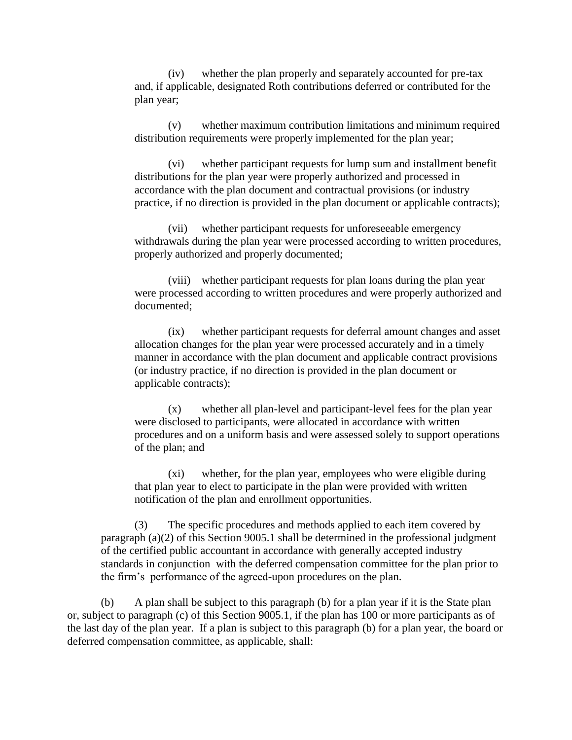(iv) whether the plan properly and separately accounted for pre-tax and, if applicable, designated Roth contributions deferred or contributed for the plan year;

(v) whether maximum contribution limitations and minimum required distribution requirements were properly implemented for the plan year;

(vi) whether participant requests for lump sum and installment benefit distributions for the plan year were properly authorized and processed in accordance with the plan document and contractual provisions (or industry practice, if no direction is provided in the plan document or applicable contracts);

(vii) whether participant requests for unforeseeable emergency withdrawals during the plan year were processed according to written procedures, properly authorized and properly documented;

(viii) whether participant requests for plan loans during the plan year were processed according to written procedures and were properly authorized and documented;

(ix) whether participant requests for deferral amount changes and asset allocation changes for the plan year were processed accurately and in a timely manner in accordance with the plan document and applicable contract provisions (or industry practice, if no direction is provided in the plan document or applicable contracts);

(x) whether all plan-level and participant-level fees for the plan year were disclosed to participants, were allocated in accordance with written procedures and on a uniform basis and were assessed solely to support operations of the plan; and

(xi) whether, for the plan year, employees who were eligible during that plan year to elect to participate in the plan were provided with written notification of the plan and enrollment opportunities.

(3) The specific procedures and methods applied to each item covered by paragraph (a)(2) of this Section 9005.1 shall be determined in the professional judgment of the certified public accountant in accordance with generally accepted industry standards in conjunction with the deferred compensation committee for the plan prior to the firm's performance of the agreed-upon procedures on the plan.

(b) A plan shall be subject to this paragraph (b) for a plan year if it is the State plan or, subject to paragraph (c) of this Section 9005.1, if the plan has 100 or more participants as of the last day of the plan year. If a plan is subject to this paragraph (b) for a plan year, the board or deferred compensation committee, as applicable, shall: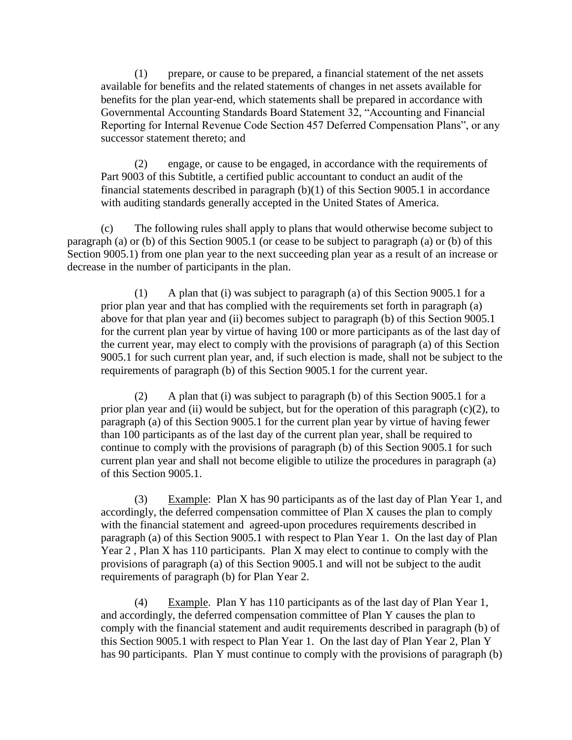(1) prepare, or cause to be prepared, a financial statement of the net assets available for benefits and the related statements of changes in net assets available for benefits for the plan year-end, which statements shall be prepared in accordance with Governmental Accounting Standards Board Statement 32, "Accounting and Financial Reporting for Internal Revenue Code Section 457 Deferred Compensation Plans", or any successor statement thereto; and

(2) engage, or cause to be engaged, in accordance with the requirements of Part 9003 of this Subtitle, a certified public accountant to conduct an audit of the financial statements described in paragraph (b)(1) of this Section 9005.1 in accordance with auditing standards generally accepted in the United States of America.

(c) The following rules shall apply to plans that would otherwise become subject to paragraph (a) or (b) of this Section 9005.1 (or cease to be subject to paragraph (a) or (b) of this Section 9005.1) from one plan year to the next succeeding plan year as a result of an increase or decrease in the number of participants in the plan.

(1) A plan that (i) was subject to paragraph (a) of this Section 9005.1 for a prior plan year and that has complied with the requirements set forth in paragraph (a) above for that plan year and (ii) becomes subject to paragraph (b) of this Section 9005.1 for the current plan year by virtue of having 100 or more participants as of the last day of the current year, may elect to comply with the provisions of paragraph (a) of this Section 9005.1 for such current plan year, and, if such election is made, shall not be subject to the requirements of paragraph (b) of this Section 9005.1 for the current year.

(2) A plan that (i) was subject to paragraph (b) of this Section 9005.1 for a prior plan year and (ii) would be subject, but for the operation of this paragraph (c)(2), to paragraph (a) of this Section 9005.1 for the current plan year by virtue of having fewer than 100 participants as of the last day of the current plan year, shall be required to continue to comply with the provisions of paragraph (b) of this Section 9005.1 for such current plan year and shall not become eligible to utilize the procedures in paragraph (a) of this Section 9005.1.

(3) Example: Plan X has 90 participants as of the last day of Plan Year 1, and accordingly, the deferred compensation committee of Plan X causes the plan to comply with the financial statement and agreed-upon procedures requirements described in paragraph (a) of this Section 9005.1 with respect to Plan Year 1. On the last day of Plan Year 2 , Plan X has 110 participants. Plan X may elect to continue to comply with the provisions of paragraph (a) of this Section 9005.1 and will not be subject to the audit requirements of paragraph (b) for Plan Year 2.

(4) Example. Plan Y has 110 participants as of the last day of Plan Year 1, and accordingly, the deferred compensation committee of Plan Y causes the plan to comply with the financial statement and audit requirements described in paragraph (b) of this Section 9005.1 with respect to Plan Year 1. On the last day of Plan Year 2, Plan Y has 90 participants. Plan Y must continue to comply with the provisions of paragraph (b)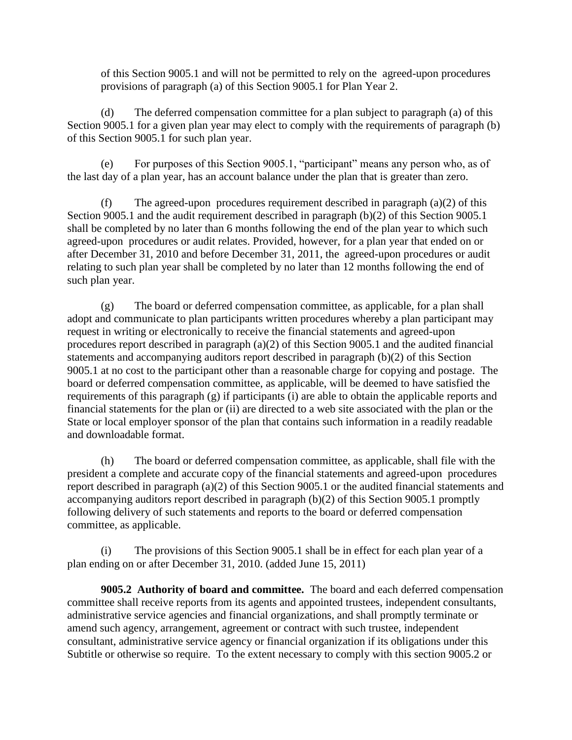of this Section 9005.1 and will not be permitted to rely on the agreed-upon procedures provisions of paragraph (a) of this Section 9005.1 for Plan Year 2.

(d) The deferred compensation committee for a plan subject to paragraph (a) of this Section 9005.1 for a given plan year may elect to comply with the requirements of paragraph (b) of this Section 9005.1 for such plan year.

(e) For purposes of this Section 9005.1, "participant" means any person who, as of the last day of a plan year, has an account balance under the plan that is greater than zero.

(f) The agreed-upon procedures requirement described in paragraph (a)(2) of this Section 9005.1 and the audit requirement described in paragraph (b)(2) of this Section 9005.1 shall be completed by no later than 6 months following the end of the plan year to which such agreed-upon procedures or audit relates. Provided, however, for a plan year that ended on or after December 31, 2010 and before December 31, 2011, the agreed-upon procedures or audit relating to such plan year shall be completed by no later than 12 months following the end of such plan year.

(g) The board or deferred compensation committee, as applicable, for a plan shall adopt and communicate to plan participants written procedures whereby a plan participant may request in writing or electronically to receive the financial statements and agreed-upon procedures report described in paragraph (a)(2) of this Section 9005.1 and the audited financial statements and accompanying auditors report described in paragraph (b)(2) of this Section 9005.1 at no cost to the participant other than a reasonable charge for copying and postage. The board or deferred compensation committee, as applicable, will be deemed to have satisfied the requirements of this paragraph (g) if participants (i) are able to obtain the applicable reports and financial statements for the plan or (ii) are directed to a web site associated with the plan or the State or local employer sponsor of the plan that contains such information in a readily readable and downloadable format.

(h) The board or deferred compensation committee, as applicable, shall file with the president a complete and accurate copy of the financial statements and agreed-upon procedures report described in paragraph (a)(2) of this Section 9005.1 or the audited financial statements and accompanying auditors report described in paragraph (b)(2) of this Section 9005.1 promptly following delivery of such statements and reports to the board or deferred compensation committee, as applicable.

(i) The provisions of this Section 9005.1 shall be in effect for each plan year of a plan ending on or after December 31, 2010. (added June 15, 2011)

**9005.2 Authority of board and committee.** The board and each deferred compensation committee shall receive reports from its agents and appointed trustees, independent consultants, administrative service agencies and financial organizations, and shall promptly terminate or amend such agency, arrangement, agreement or contract with such trustee, independent consultant, administrative service agency or financial organization if its obligations under this Subtitle or otherwise so require. To the extent necessary to comply with this section 9005.2 or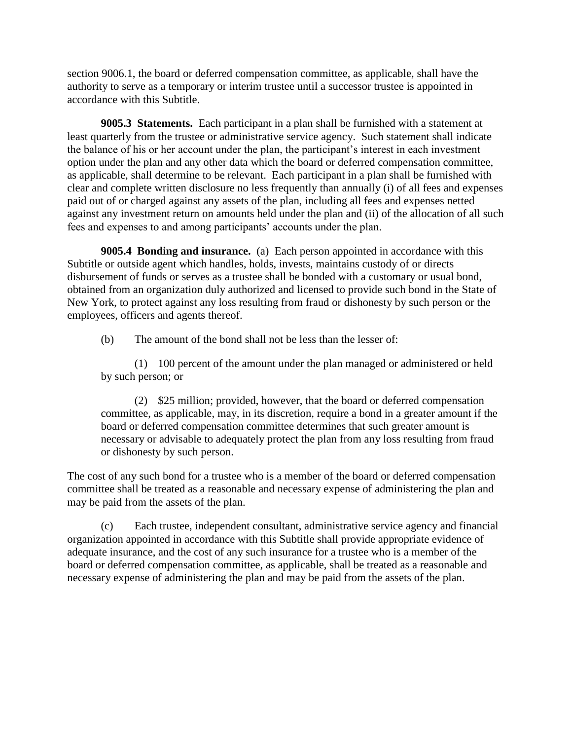section 9006.1, the board or deferred compensation committee, as applicable, shall have the authority to serve as a temporary or interim trustee until a successor trustee is appointed in accordance with this Subtitle.

**9005.3 Statements.** Each participant in a plan shall be furnished with a statement at least quarterly from the trustee or administrative service agency. Such statement shall indicate the balance of his or her account under the plan, the participant's interest in each investment option under the plan and any other data which the board or deferred compensation committee, as applicable, shall determine to be relevant. Each participant in a plan shall be furnished with clear and complete written disclosure no less frequently than annually (i) of all fees and expenses paid out of or charged against any assets of the plan, including all fees and expenses netted against any investment return on amounts held under the plan and (ii) of the allocation of all such fees and expenses to and among participants' accounts under the plan.

**9005.4 Bonding and insurance.** (a) Each person appointed in accordance with this Subtitle or outside agent which handles, holds, invests, maintains custody of or directs disbursement of funds or serves as a trustee shall be bonded with a customary or usual bond, obtained from an organization duly authorized and licensed to provide such bond in the State of New York, to protect against any loss resulting from fraud or dishonesty by such person or the employees, officers and agents thereof.

(b) The amount of the bond shall not be less than the lesser of:

(1) 100 percent of the amount under the plan managed or administered or held by such person; or

(2) \$25 million; provided, however, that the board or deferred compensation committee, as applicable, may, in its discretion, require a bond in a greater amount if the board or deferred compensation committee determines that such greater amount is necessary or advisable to adequately protect the plan from any loss resulting from fraud or dishonesty by such person.

The cost of any such bond for a trustee who is a member of the board or deferred compensation committee shall be treated as a reasonable and necessary expense of administering the plan and may be paid from the assets of the plan.

(c) Each trustee, independent consultant, administrative service agency and financial organization appointed in accordance with this Subtitle shall provide appropriate evidence of adequate insurance, and the cost of any such insurance for a trustee who is a member of the board or deferred compensation committee, as applicable, shall be treated as a reasonable and necessary expense of administering the plan and may be paid from the assets of the plan.